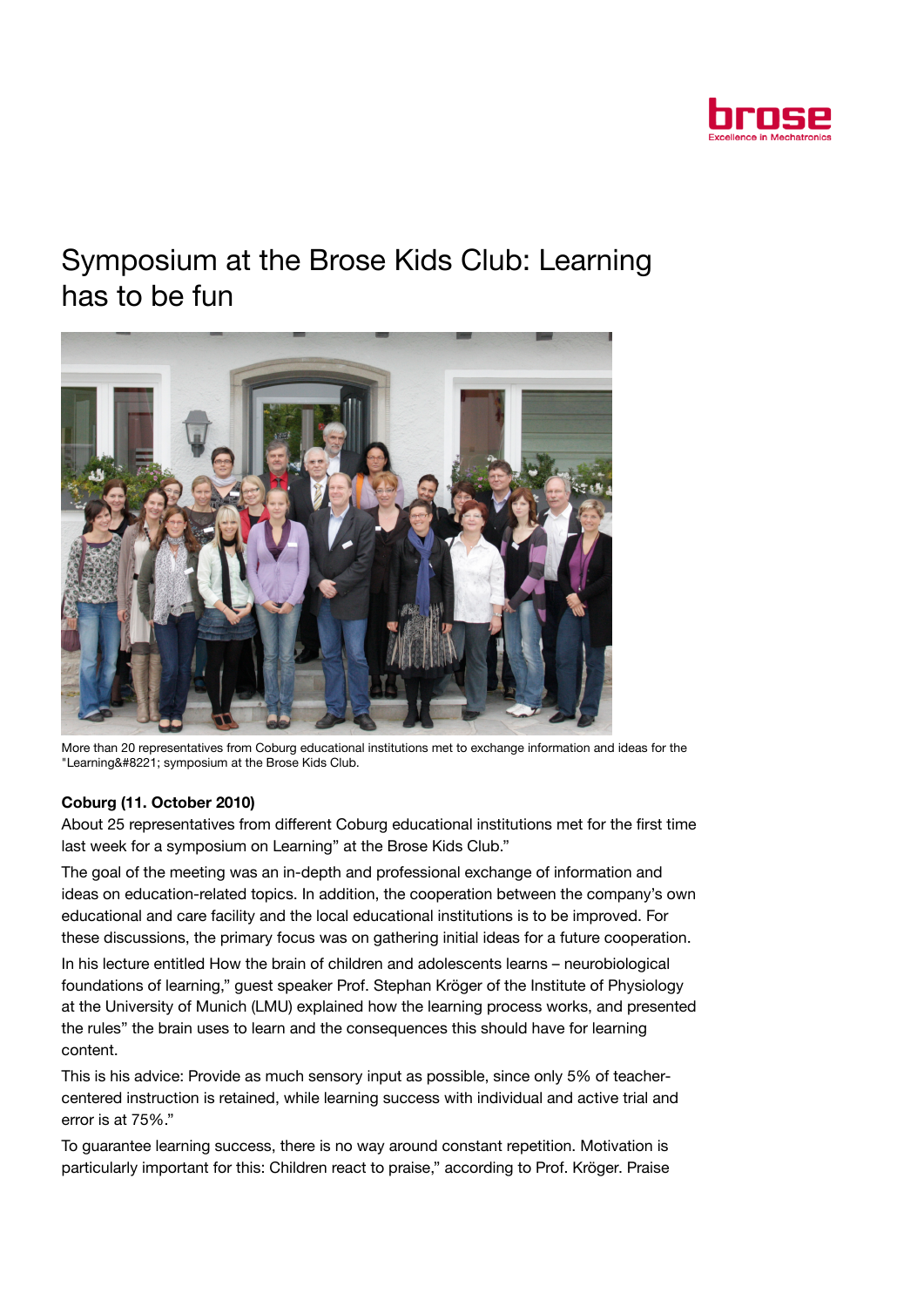

## Symposium at the Brose Kids Club: Learning has to be fun



More than 20 representatives from Coburg educational institutions met to exchange information and ideas for the "Learning" symposium at the Brose Kids Club.

## Coburg (11. October 2010)

About 25 representatives from different Coburg educational institutions met for the first time last week for a symposium on Learning" at the Brose Kids Club."

The goal of the meeting was an in-depth and professional exchange of information and ideas on education-related topics. In addition, the cooperation between the company's own educational and care facility and the local educational institutions is to be improved. For these discussions, the primary focus was on gathering initial ideas for a future cooperation.

In his lecture entitled How the brain of children and adolescents learns – neurobiological foundations of learning," guest speaker Prof. Stephan Kröger of the Institute of Physiology at the University of Munich (LMU) explained how the learning process works, and presented the rules" the brain uses to learn and the consequences this should have for learning content.

This is his advice: Provide as much sensory input as possible, since only 5% of teachercentered instruction is retained, while learning success with individual and active trial and error is at 75%."

To guarantee learning success, there is no way around constant repetition. Motivation is particularly important for this: Children react to praise," according to Prof. Kröger. Praise